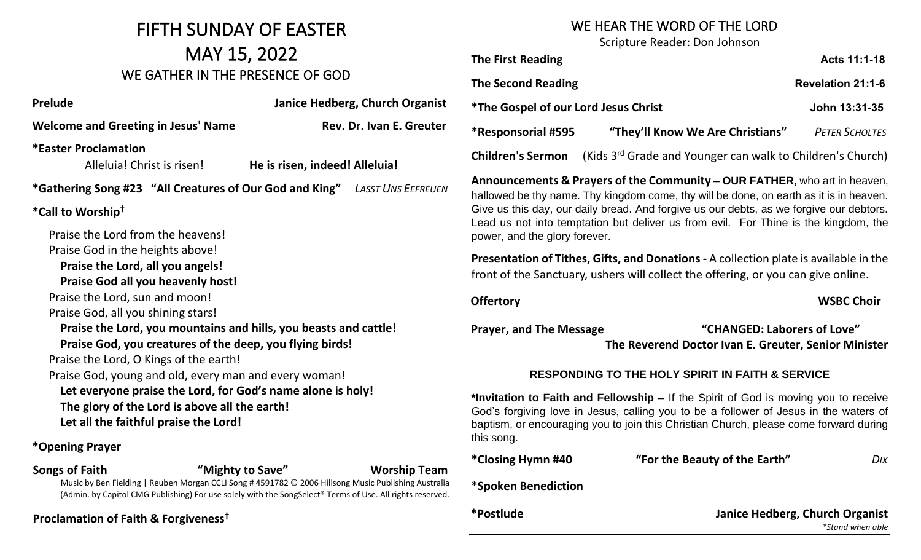## FIFTH SUNDAY OF EASTER MAY 15, 2022 WE GATHER IN THE PRESENCE OF GOD

| <b>Prelude</b>                                                                                                                                                                                                                                                                                                                                                                               | Janice Hedberg, Church Organist<br>$\ast$                                                                                                                                                                             |
|----------------------------------------------------------------------------------------------------------------------------------------------------------------------------------------------------------------------------------------------------------------------------------------------------------------------------------------------------------------------------------------------|-----------------------------------------------------------------------------------------------------------------------------------------------------------------------------------------------------------------------|
| <b>Welcome and Greeting in Jesus' Name</b>                                                                                                                                                                                                                                                                                                                                                   | Rev. Dr. Ivan E. Greuter<br>$\ast$                                                                                                                                                                                    |
| <b>*Easter Proclamation</b><br>Alleluia! Christ is risen!                                                                                                                                                                                                                                                                                                                                    | C<br>He is risen, indeed! Alleluia!<br>A                                                                                                                                                                              |
|                                                                                                                                                                                                                                                                                                                                                                                              | *Gathering Song #23 "All Creatures of Our God and King" LASST UNS EEFREUEN<br>h                                                                                                                                       |
| *Call to Worship <sup>†</sup>                                                                                                                                                                                                                                                                                                                                                                |                                                                                                                                                                                                                       |
| Praise the Lord from the heavens!<br>Praise God in the heights above!<br>Praise the Lord, all you angels!<br><b>Praise God all you heavenly host!</b><br>Praise the Lord, sun and moon!<br>Praise God, all you shining stars!<br>Praise God, you creatures of the deep, you flying birds!<br>Praise the Lord, O Kings of the earth!<br>Praise God, young and old, every man and every woman! | p<br>P<br>f <sub>l</sub><br>O<br>Praise the Lord, you mountains and hills, you beasts and cattle!<br>P                                                                                                                |
| The glory of the Lord is above all the earth!<br>Let all the faithful praise the Lord!<br>*Opening Prayer                                                                                                                                                                                                                                                                                    | Let everyone praise the Lord, for God's name alone is holy!<br>$\star$<br>G<br>b<br>tł                                                                                                                                |
| <b>Songs of Faith</b>                                                                                                                                                                                                                                                                                                                                                                        | $\ast$<br>"Mighty to Save"<br><b>Worship Team</b>                                                                                                                                                                     |
|                                                                                                                                                                                                                                                                                                                                                                                              | Music by Ben Fielding   Reuben Morgan CCLI Song #4591782 © 2006 Hillsong Music Publishing Australia<br>*<br>(Admin. by Capitol CMG Publishing) For use solely with the SongSelect® Terms of Use. All rights reserved. |
| Proclamation of Faith & Forgiveness <sup>†</sup>                                                                                                                                                                                                                                                                                                                                             | ∗                                                                                                                                                                                                                     |

## WE HEAR THE WORD OF THE LORD

Scripture Reader: Don Johnson

| <b>The First Reading</b>                                                                                                                                                                                                                                                                                                                                                               |                                  | Acts 11:1-18          |  |
|----------------------------------------------------------------------------------------------------------------------------------------------------------------------------------------------------------------------------------------------------------------------------------------------------------------------------------------------------------------------------------------|----------------------------------|-----------------------|--|
| <b>The Second Reading</b>                                                                                                                                                                                                                                                                                                                                                              |                                  | Revelation 21:1-6     |  |
| <i><b>*The Gospel of our Lord Jesus Christ</b></i>                                                                                                                                                                                                                                                                                                                                     |                                  | John 13:31-35         |  |
| *Responsorial #595                                                                                                                                                                                                                                                                                                                                                                     | "They'll Know We Are Christians" | <b>PETER SCHOLTES</b> |  |
| (Kids 3 <sup>rd</sup> Grade and Younger can walk to Children's Church)<br><b>Children's Sermon</b>                                                                                                                                                                                                                                                                                     |                                  |                       |  |
| Announcements & Prayers of the Community - OUR FATHER, who art in heaven,<br>hallowed be thy name. Thy kingdom come, thy will be done, on earth as it is in heaven.<br>Give us this day, our daily bread. And forgive us our debts, as we forgive our debtors.<br>Lead us not into temptation but deliver us from evil. For Thine is the kingdom, the<br>power, and the glory forever. |                                  |                       |  |
| Presentation of Tithes, Gifts, and Donations - A collection plate is available in the<br>front of the Sanctuary, ushers will collect the offering, or you can give online.                                                                                                                                                                                                             |                                  |                       |  |
| <b>Offertory</b>                                                                                                                                                                                                                                                                                                                                                                       |                                  | <b>WSBC Choir</b>     |  |
| "CHANGED: Laborers of Love"<br><b>Prayer, and The Message</b><br>The Reverend Doctor Ivan E. Greuter, Senior Minister                                                                                                                                                                                                                                                                  |                                  |                       |  |
| <b>RESPONDING TO THE HOLY SPIRIT IN FAITH &amp; SERVICE</b>                                                                                                                                                                                                                                                                                                                            |                                  |                       |  |
| *Invitation to Faith and Fellowship - If the Spirit of God is moving you to receive<br>God's forgiving love in Jesus, calling you to be a follower of Jesus in the waters of<br>baptism, or encouraging you to join this Christian Church, please come forward during<br>this song.                                                                                                    |                                  |                       |  |
| *Closing Hymn #40                                                                                                                                                                                                                                                                                                                                                                      | "For the Beauty of the Earth"    | DIX                   |  |
| *Spoken Benediction                                                                                                                                                                                                                                                                                                                                                                    |                                  |                       |  |